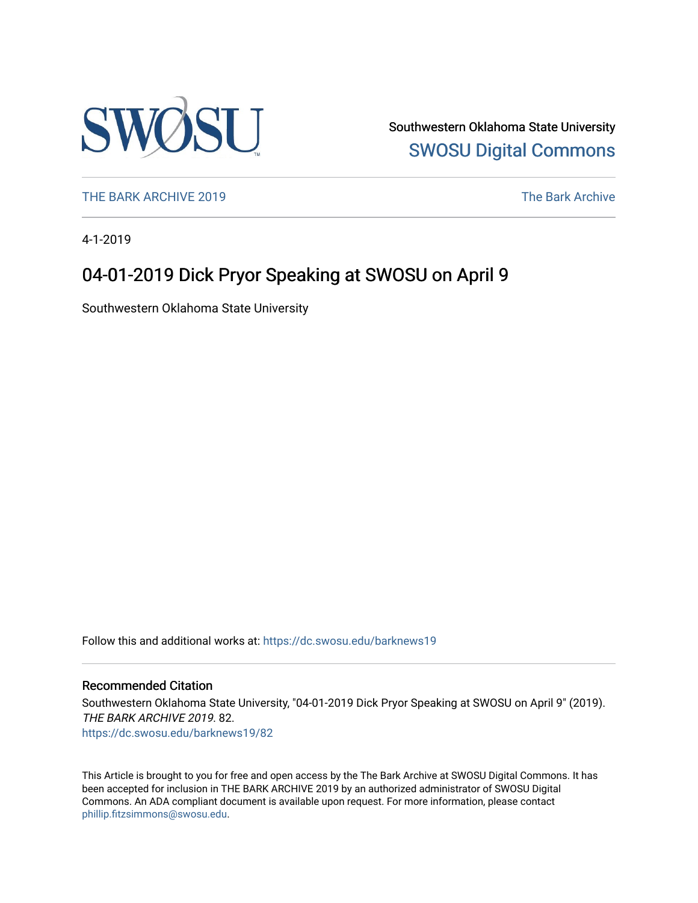

Southwestern Oklahoma State University [SWOSU Digital Commons](https://dc.swosu.edu/) 

[THE BARK ARCHIVE 2019](https://dc.swosu.edu/barknews19) The Bark Archive

4-1-2019

## 04-01-2019 Dick Pryor Speaking at SWOSU on April 9

Southwestern Oklahoma State University

Follow this and additional works at: [https://dc.swosu.edu/barknews19](https://dc.swosu.edu/barknews19?utm_source=dc.swosu.edu%2Fbarknews19%2F82&utm_medium=PDF&utm_campaign=PDFCoverPages)

#### Recommended Citation

Southwestern Oklahoma State University, "04-01-2019 Dick Pryor Speaking at SWOSU on April 9" (2019). THE BARK ARCHIVE 2019. 82. [https://dc.swosu.edu/barknews19/82](https://dc.swosu.edu/barknews19/82?utm_source=dc.swosu.edu%2Fbarknews19%2F82&utm_medium=PDF&utm_campaign=PDFCoverPages) 

This Article is brought to you for free and open access by the The Bark Archive at SWOSU Digital Commons. It has been accepted for inclusion in THE BARK ARCHIVE 2019 by an authorized administrator of SWOSU Digital Commons. An ADA compliant document is available upon request. For more information, please contact [phillip.fitzsimmons@swosu.edu](mailto:phillip.fitzsimmons@swosu.edu).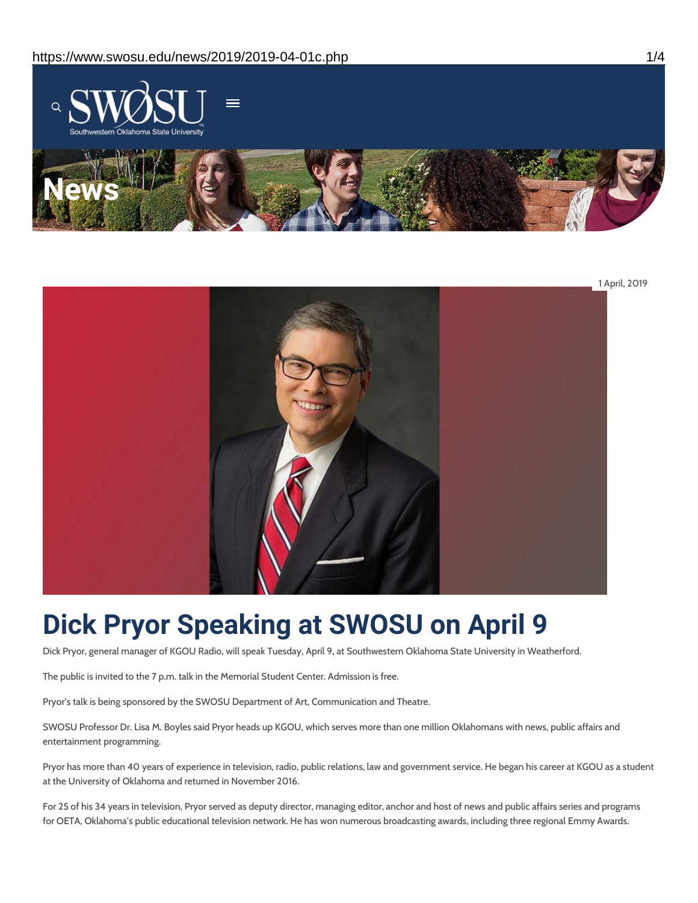



# **Dick Pryor Speaking at SWOSU on April 9**

Dick Pryor, general manager of KGOU Radio, will speak Tuesday, April 9, at Southwestern Oklahoma State University in Weatherford.

The public is invited to the 7 p.m. talk in the Memorial Student Center. Admission is free.

Pryor's talk is being sponsored by the SWOSU Department of Art, Communication and Theatre.

SWOSU Professor Dr. Lisa M. Boyles said Pryor heads up KGOU, which serves more than one million Oklahomans with news, public affairs and entertainment programming.

Pryor has more than 40 years of experience in television, radio, public relations, law and government service. He began his career at KGOU as a student at the University of Oklahoma and returned in November 2016.

For 25 of his 34 years in television, Pryor served as deputy director, managing editor, anchor and host of news and public affairs series and programs for OETA, Oklahoma's public educational television network. He has won numerous broadcasting awards, including three regional Emmy Awards.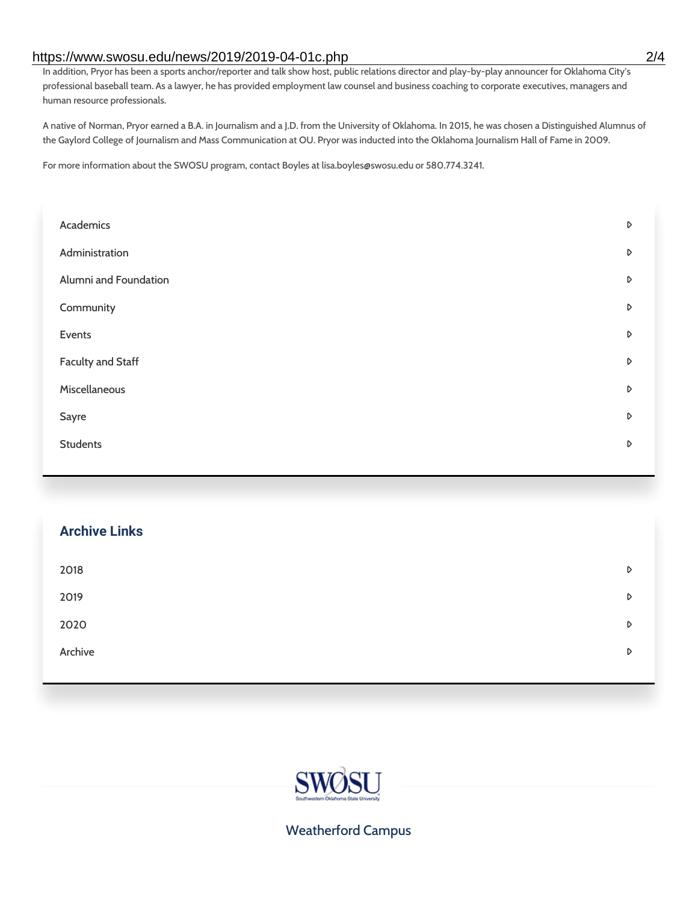### https://www.swosu.edu/news/2019/2019-04-01c.php 2/4

In addition, Pryor has been a sports anchor/reporter and talk show host, public relations director and play-by-play announcer for Oklahoma City's professional baseball team. As a lawyer, he has provided employment law counsel and business coaching to corporate executives, managers and human resource professionals.

A native of Norman, Pryor earned a B.A. in Journalism and a J.D. from the University of Oklahoma. In 2015, he was chosen a Distinguished Alumnus of the Gaylord College of Journalism and Mass Communication at OU. Pryor was inducted into the Oklahoma Journalism Hall of Fame in 2009.

For more information about the SWOSU program, contact Boyles at lisa.boyles@swosu.edu or 580.774.3241.

| Academics                | D |
|--------------------------|---|
| Administration           | D |
| Alumni and Foundation    | D |
| Community                | D |
| Events                   | D |
| <b>Faculty and Staff</b> | D |
| Miscellaneous            | D |
| Sayre                    | D |
| <b>Students</b>          | D |
|                          |   |

| <b>Archive Links</b> |   |
|----------------------|---|
| 2018                 | D |
| 2019                 | D |
| 2020                 | D |
| Archive              | D |
|                      |   |



Weatherford Campus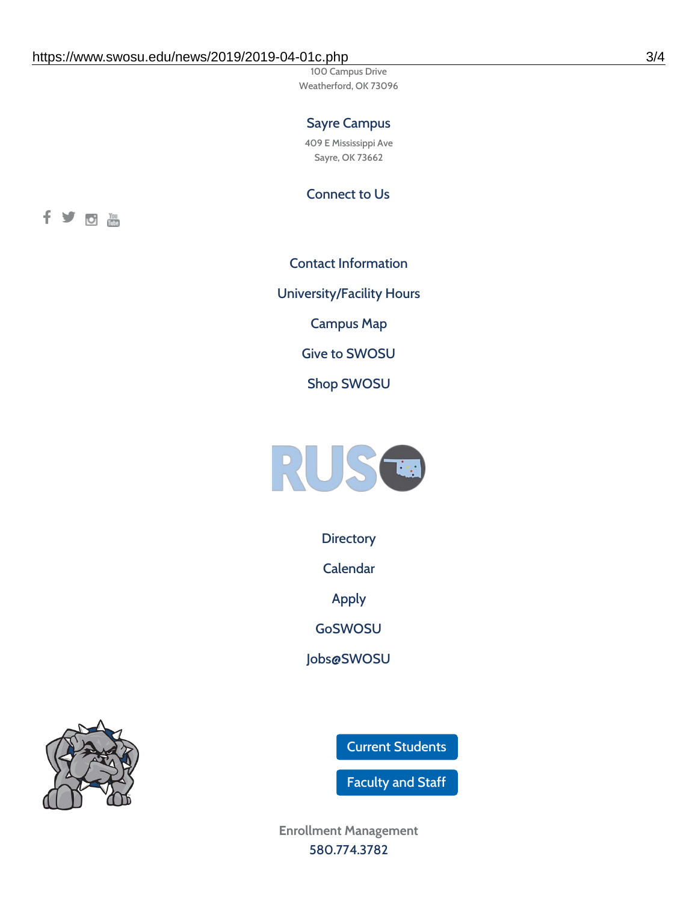100 Campus Drive Weatherford, OK 73096

### Sayre Campus

409 E Mississippi Ave Sayre, OK 73662

Connect to Us



Contact [Information](https://www.swosu.edu/about/contact.php) [University/Facility](https://www.swosu.edu/about/operating-hours.php) Hours [Campus](https://map.concept3d.com/?id=768#!ct/10964,10214,10213,10212,10205,10204,10203,10202,10136,10129,10128,0,31226,10130,10201,10641,0) Map Give to [SWOSU](https://standingfirmly.com/donate) Shop [SWOSU](https://shopswosu.merchorders.com/)



**[Directory](https://www.swosu.edu/directory/index.php)** 

[Calendar](https://eventpublisher.dudesolutions.com/swosu/)

[Apply](https://www.swosu.edu/admissions/apply-to-swosu.php)

[GoSWOSU](https://qlsso.quicklaunchsso.com/home/1267)

[Jobs@SWOSU](https://swosu.csod.com/ux/ats/careersite/1/home?c=swosu)

Current [Students](https://bulldog.swosu.edu/index.php)

[Faculty](https://bulldog.swosu.edu/faculty-staff/index.php) and Staff

**Enrollment Management** [580.774.3782](tel:5807743782)